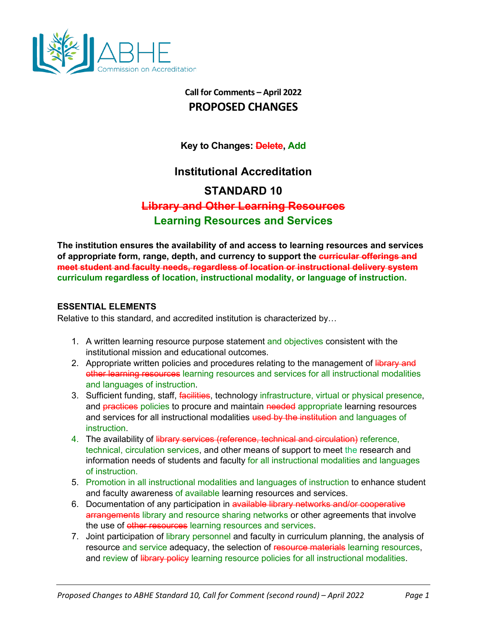

## **Call for Comments – April 2022 PROPOSED CHANGES**

**Key to Changes: Delete, Add**

## **Institutional Accreditation**

# **STANDARD 10**

# **Library and Other Learning Resources**

## **Learning Resources and Services**

**The institution ensures the availability of and access to learning resources and services of appropriate form, range, depth, and currency to support the curricular offerings and meet student and faculty needs, regardless of location or instructional delivery system curriculum regardless of location, instructional modality, or language of instruction.**

#### **ESSENTIAL ELEMENTS**

Relative to this standard, and accredited institution is characterized by…

- 1. A written learning resource purpose statement and objectives consistent with the institutional mission and educational outcomes.
- 2. Appropriate written policies and procedures relating to the management of library and other learning resources learning resources and services for all instructional modalities and languages of instruction.
- 3. Sufficient funding, staff, facilities, technology infrastructure, virtual or physical presence, and **practices** policies to procure and maintain needed appropriate learning resources and services for all instructional modalities used by the institution and languages of instruction.
- 4. The availability of library services (reference, technical and circulation) reference, technical, circulation services, and other means of support to meet the research and information needs of students and faculty for all instructional modalities and languages of instruction.
- 5. Promotion in all instructional modalities and languages of instruction to enhance student and faculty awareness of available learning resources and services.
- 6. Documentation of any participation in available library networks and/or cooperative arrangements library and resource sharing networks or other agreements that involve the use of other resources learning resources and services.
- 7. Joint participation of library personnel and faculty in curriculum planning, the analysis of resource and service adequacy, the selection of resource materials learning resources, and review of library policy learning resource policies for all instructional modalities.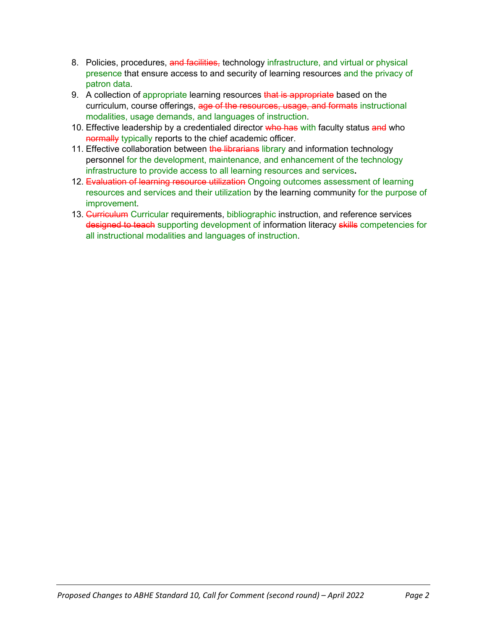- 8. Policies, procedures, and facilities, technology infrastructure, and virtual or physical presence that ensure access to and security of learning resources and the privacy of patron data.
- 9. A collection of appropriate learning resources that is appropriate based on the curriculum, course offerings, age of the resources, usage, and formats instructional modalities, usage demands, and languages of instruction.
- 10. Effective leadership by a credentialed director who has with faculty status and who normally typically reports to the chief academic officer.
- 11. Effective collaboration between the librarians library and information technology personnel for the development, maintenance, and enhancement of the technology infrastructure to provide access to all learning resources and services**.**
- 12. Evaluation of learning resource utilization Ongoing outcomes assessment of learning resources and services and their utilization by the learning community for the purpose of improvement.
- 13. Curriculum Curricular requirements, bibliographic instruction, and reference services designed to teach supporting development of information literacy skills competencies for all instructional modalities and languages of instruction.